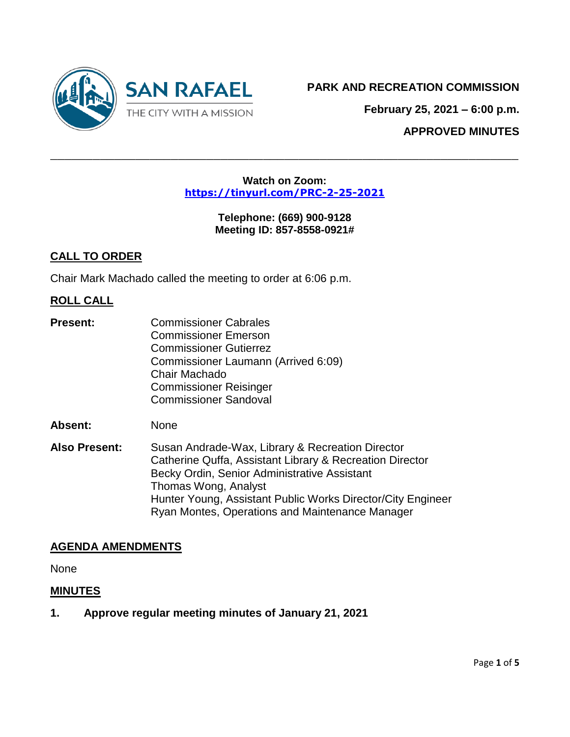

**February 25, 2021 – 6:00 p.m.**

**APPROVED MINUTES**

#### **Watch on Zoom: <https://tinyurl.com/PRC-2-25-2021>**

 $\_$  , and the contribution of the contribution of  $\mathcal{L}$  , and  $\mathcal{L}$  , and  $\mathcal{L}$  , and  $\mathcal{L}$  , and  $\mathcal{L}$  , and  $\mathcal{L}$  , and  $\mathcal{L}$  , and  $\mathcal{L}$  , and  $\mathcal{L}$  , and  $\mathcal{L}$  , and  $\mathcal{L}$  , and  $\mathcal{L$ 

**Telephone: (669) 900-9128 Meeting ID: 857-8558-0921#**

## **CALL TO ORDER**

Chair Mark Machado called the meeting to order at 6:06 p.m.

## **ROLL CALL**

**Present:** Commissioner Cabrales Commissioner Emerson Commissioner Gutierrez Commissioner Laumann (Arrived 6:09) Chair Machado Commissioner Reisinger Commissioner Sandoval

**Absent:** None

**Also Present:** Susan Andrade-Wax, Library & Recreation Director Catherine Quffa, Assistant Library & Recreation Director Becky Ordin, Senior Administrative Assistant Thomas Wong, Analyst Hunter Young, Assistant Public Works Director/City Engineer Ryan Montes, Operations and Maintenance Manager

### **AGENDA AMENDMENTS**

None

### **MINUTES**

**1. Approve regular meeting minutes of January 21, 2021**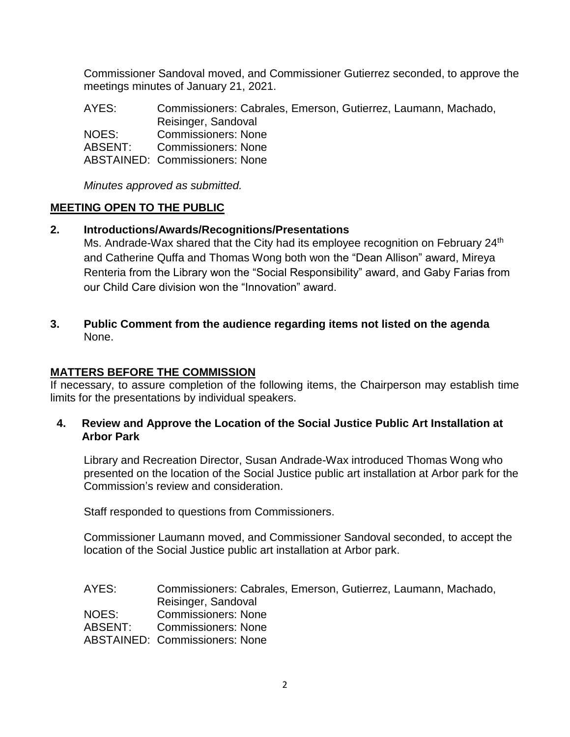Commissioner Sandoval moved, and Commissioner Gutierrez seconded, to approve the meetings minutes of January 21, 2021.

AYES: Commissioners: Cabrales, Emerson, Gutierrez, Laumann, Machado, Reisinger, Sandoval NOES: Commissioners: None ABSENT: Commissioners: None ABSTAINED: Commissioners: None

*Minutes approved as submitted.*

### **MEETING OPEN TO THE PUBLIC**

### **2. Introductions/Awards/Recognitions/Presentations**

Ms. Andrade-Wax shared that the City had its employee recognition on February 24<sup>th</sup> and Catherine Quffa and Thomas Wong both won the "Dean Allison" award, Mireya Renteria from the Library won the "Social Responsibility" award, and Gaby Farias from our Child Care division won the "Innovation" award.

**3. Public Comment from the audience regarding items not listed on the agenda** None.

### **MATTERS BEFORE THE COMMISSION**

If necessary, to assure completion of the following items, the Chairperson may establish time limits for the presentations by individual speakers.

**4. Review and Approve the Location of the Social Justice Public Art Installation at Arbor Park**

Library and Recreation Director, Susan Andrade-Wax introduced Thomas Wong who presented on the location of the Social Justice public art installation at Arbor park for the Commission's review and consideration.

Staff responded to questions from Commissioners.

Commissioner Laumann moved, and Commissioner Sandoval seconded, to accept the location of the Social Justice public art installation at Arbor park.

AYES: Commissioners: Cabrales, Emerson, Gutierrez, Laumann, Machado, Reisinger, Sandoval NOES: Commissioners: None ABSENT: Commissioners: None

ABSTAINED: Commissioners: None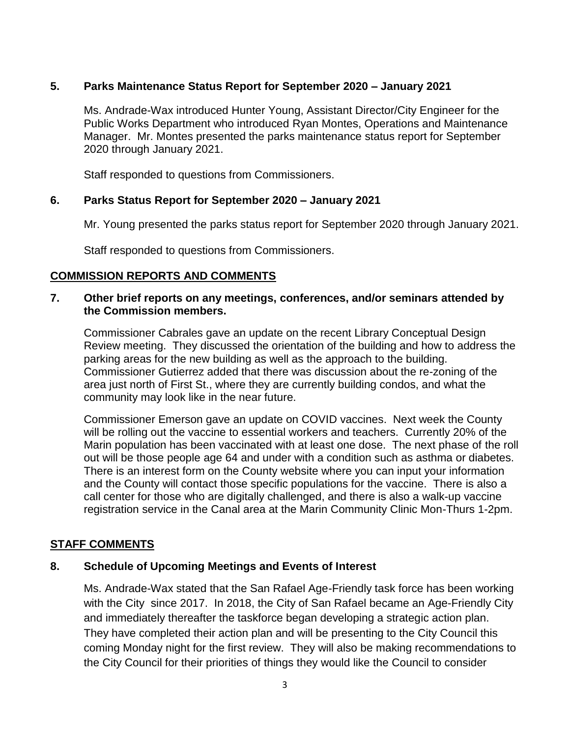## **5. Parks Maintenance Status Report for September 2020 – January 2021**

Ms. Andrade-Wax introduced Hunter Young, Assistant Director/City Engineer for the Public Works Department who introduced Ryan Montes, Operations and Maintenance Manager. Mr. Montes presented the parks maintenance status report for September 2020 through January 2021.

Staff responded to questions from Commissioners.

### **6. Parks Status Report for September 2020 – January 2021**

Mr. Young presented the parks status report for September 2020 through January 2021.

Staff responded to questions from Commissioners.

### **COMMISSION REPORTS AND COMMENTS**

#### **7. Other brief reports on any meetings, conferences, and/or seminars attended by the Commission members.**

Commissioner Cabrales gave an update on the recent Library Conceptual Design Review meeting. They discussed the orientation of the building and how to address the parking areas for the new building as well as the approach to the building. Commissioner Gutierrez added that there was discussion about the re-zoning of the area just north of First St., where they are currently building condos, and what the community may look like in the near future.

Commissioner Emerson gave an update on COVID vaccines. Next week the County will be rolling out the vaccine to essential workers and teachers. Currently 20% of the Marin population has been vaccinated with at least one dose. The next phase of the roll out will be those people age 64 and under with a condition such as asthma or diabetes. There is an interest form on the County website where you can input your information and the County will contact those specific populations for the vaccine. There is also a call center for those who are digitally challenged, and there is also a walk-up vaccine registration service in the Canal area at the Marin Community Clinic Mon-Thurs 1-2pm.

### **STAFF COMMENTS**

### **8. Schedule of Upcoming Meetings and Events of Interest**

Ms. Andrade-Wax stated that the San Rafael Age-Friendly task force has been working with the City since 2017. In 2018, the City of San Rafael became an Age-Friendly City and immediately thereafter the taskforce began developing a strategic action plan. They have completed their action plan and will be presenting to the City Council this coming Monday night for the first review. They will also be making recommendations to the City Council for their priorities of things they would like the Council to consider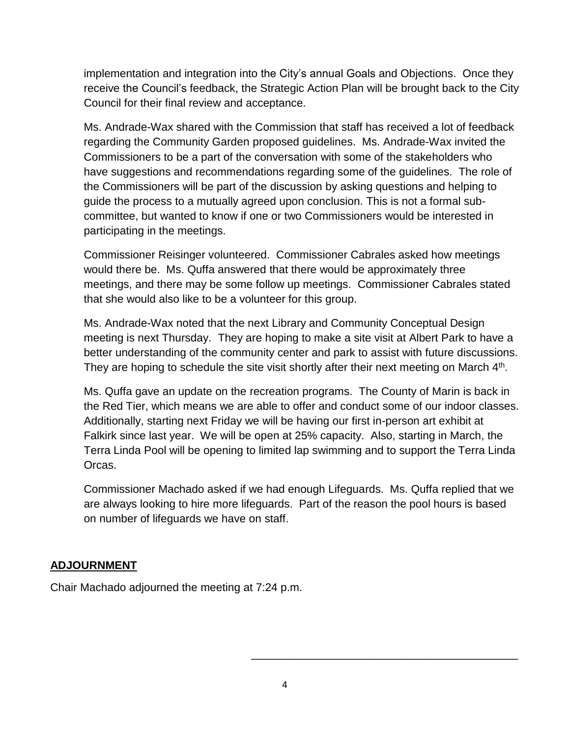implementation and integration into the City's annual Goals and Objections. Once they receive the Council's feedback, the Strategic Action Plan will be brought back to the City Council for their final review and acceptance.

Ms. Andrade-Wax shared with the Commission that staff has received a lot of feedback regarding the Community Garden proposed guidelines. Ms. Andrade-Wax invited the Commissioners to be a part of the conversation with some of the stakeholders who have suggestions and recommendations regarding some of the guidelines. The role of the Commissioners will be part of the discussion by asking questions and helping to guide the process to a mutually agreed upon conclusion. This is not a formal subcommittee, but wanted to know if one or two Commissioners would be interested in participating in the meetings.

Commissioner Reisinger volunteered. Commissioner Cabrales asked how meetings would there be. Ms. Quffa answered that there would be approximately three meetings, and there may be some follow up meetings. Commissioner Cabrales stated that she would also like to be a volunteer for this group.

Ms. Andrade-Wax noted that the next Library and Community Conceptual Design meeting is next Thursday. They are hoping to make a site visit at Albert Park to have a better understanding of the community center and park to assist with future discussions. They are hoping to schedule the site visit shortly after their next meeting on March  $4<sup>th</sup>$ .

Ms. Quffa gave an update on the recreation programs. The County of Marin is back in the Red Tier, which means we are able to offer and conduct some of our indoor classes. Additionally, starting next Friday we will be having our first in-person art exhibit at Falkirk since last year. We will be open at 25% capacity. Also, starting in March, the Terra Linda Pool will be opening to limited lap swimming and to support the Terra Linda Orcas.

Commissioner Machado asked if we had enough Lifeguards. Ms. Quffa replied that we are always looking to hire more lifeguards. Part of the reason the pool hours is based on number of lifeguards we have on staff.

# **ADJOURNMENT**

Chair Machado adjourned the meeting at 7:24 p.m.

\_\_\_\_\_\_\_\_\_\_\_\_\_\_\_\_\_\_\_\_\_\_\_\_\_\_\_\_\_\_\_\_\_\_\_\_\_\_\_\_\_\_\_